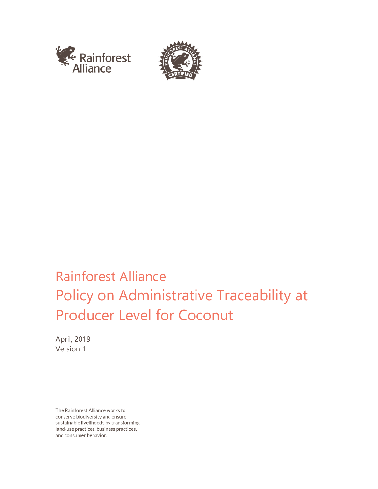



# Rainforest Alliance Policy on Administrative Traceability at Producer Level for Coconut

April, 2019 Version 1

The Rainforest Alliance works to conserve biodiversity and ensure sustainable livelihoods by transforming land-use practices, business practices, and consumer behavior.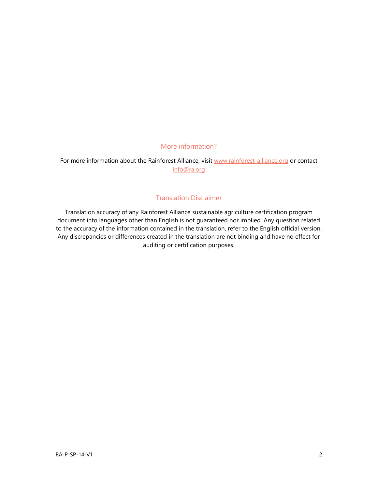## More information?

For more information about the Rainforest Alliance, visit [www.rainforest-alliance.org](http://www.rainforest-alliance.org/) or contact [info@ra.org](mailto:info@ra.org)

### Translation Disclaimer

Translation accuracy of any Rainforest Alliance sustainable agriculture certification program document into languages other than English is not guaranteed nor implied. Any question related to the accuracy of the information contained in the translation, refer to the English official version. Any discrepancies or differences created in the translation are not binding and have no effect for auditing or certification purposes.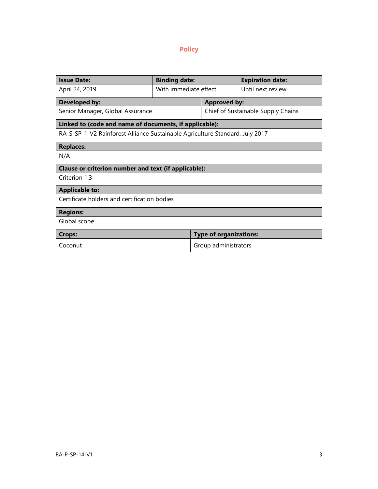# **Policy**

| <b>Issue Date:</b>                                                           | <b>Binding date:</b>  |                                    | <b>Expiration date:</b> |
|------------------------------------------------------------------------------|-----------------------|------------------------------------|-------------------------|
| April 24, 2019                                                               | With immediate effect |                                    | Until next review       |
| <b>Developed by:</b>                                                         |                       | <b>Approved by:</b>                |                         |
| Senior Manager, Global Assurance                                             |                       | Chief of Sustainable Supply Chains |                         |
| Linked to (code and name of documents, if applicable):                       |                       |                                    |                         |
| RA-S-SP-1-V2 Rainforest Alliance Sustainable Agriculture Standard, July 2017 |                       |                                    |                         |
| <b>Replaces:</b>                                                             |                       |                                    |                         |
| N/A                                                                          |                       |                                    |                         |
| Clause or criterion number and text (if applicable):                         |                       |                                    |                         |
| Criterion 1.3                                                                |                       |                                    |                         |
| <b>Applicable to:</b>                                                        |                       |                                    |                         |
| Certificate holders and certification bodies                                 |                       |                                    |                         |
| <b>Regions:</b>                                                              |                       |                                    |                         |
| Global scope                                                                 |                       |                                    |                         |
| <b>Crops:</b>                                                                |                       | <b>Type of organizations:</b>      |                         |
| Coconut                                                                      |                       | Group administrators               |                         |